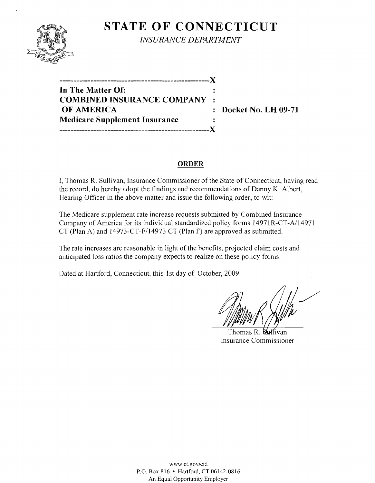

**STATE OF CONNECTICUT** 

*INSURANCE DEPARTMENT* 

**-----------------------------------------------------)( In The Matter Of: COMBINED INSURANCE COMPANY OF AMERICA** : Docket No. LH 09-71 **Medicare Supplement Insurance**   $\ddot{\cdot}$ **-----------------------------------------------------)(** 

## **ORDER**

I, Thomas R. Sullivan, Insurance Commissioner of the State of Connecticut, having read the record, do hereby adopt the findings and recommendations of Danny K. Albert, Hearing Officer in the above matter and issue the following order, to wit:

The Medicare supplement rate increase requests submitted by Combined Insurance Company of America for its individual standardized policy forms 14971R-CT-A/14971 CT (Plan A) and 14973-CT-F/14973 CT (Plan F) are approved as submitted.

The rate increases are reasonable in light of the benefits, projected claim costs and anticipated loss ratios the company expects to realize on these policy forms.

Dated at Hartford, Connecticut, this 1st day of October, 2009.

Thomas R. Sullivan Insurance Commissioner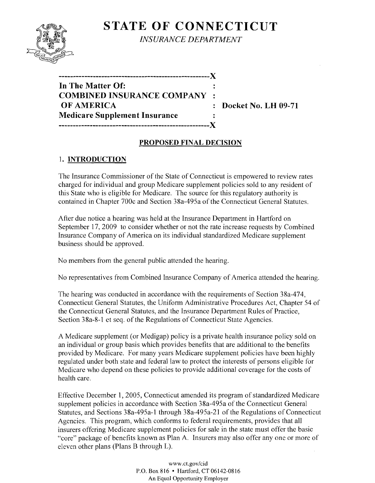

**STATE OF CONNECTICUT** *INSURANCE DEPARTMENT* 

**-----------------------------------------------------)( In The Matter Of: COMBINED INSURANCE COMPANY OF AMERICA** : Docket No. LH 09-71 **Medicare Supplement Insurance**   $\mathbb{R}^2$ **-----------------------------------------------------)(** 

## **PROPOSED FINAL DECISION**

# 1. **INTRODUCTION**

The Insurance Commissioner of the State of Connecticut is empowered to review rates charged for individual and group Medicare supplement policies sold to any resident of this State who is eligible for Medicare. The source for this regulatory authority is contained in Chapter 700c and Section 38a-495a of the Connecticut General Statutes.

After due notice a hearing was held at the Insurance Department in Hartford on September 17,2009 to consider whether or not the rate increase requests by Combined Insurance Company of America on its individual standardized Medicare supplement business should be approved.

No members from the general public attended the hearing.

No representatives from Combined Insurance Company of America attended the hearing.

The hearing was conducted in accordance with the requirements of Section 38a-474, Connecticut General Statutes, the Uniform Administrative Procedures Act, Chapter 54 of the Connecticut General Statutes, and the Insurance Department Rules of Practice, Section 38a-8-1 et seq. of the Regulations of Connecticut State Agencies.

A Medicare supplement (or Medigap) policy is a private health insurance policy sold on an individual or group basis which provides benefits that are additional to the benefits provided by Medicare. For many years Medicare supplement policies have been highly regulated under both state and federal law to protect the interests of persons eligible for Medicare who depend on these policies to provide additional coverage for the costs of health care.

Effective December 1, 2005, Connecticut amended its program of standardized Medicare supplement policies in accordance with Section 38a-495a of the Connecticut General Statutes, and Sections 38a-495a-1 through 38a-495a-21 of the Regulations of Connecticut Agencies. This program, which conforms to federal requirements, provides that all insurers offering Medicare supplement policies for sale in the state must offer the basic "core" package of benefits known as Plan A. Insurers may also offer any one or more of eleven other plans (Plans B through L).

> www.CLgov/cid P.O. Box 816 • Hartford, CT 06142-0816 An Equal Opportunity Employer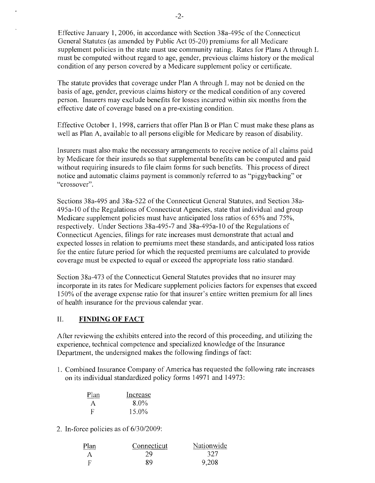Effective January 1,2006, in accordance with Section 38a-495c of the Connecticut General Statutes (as amended by Public Act 05-20) premiums for all Medicare supplement policies in the state must use community rating. Rates for Plans A through L must be computed without regard to age, gender, previous claims history or the medical condition of any person covered by a Medicare supplement policy or certificate.

The statute provides that coverage under Plan A through L may not be denied on the basis of age, gender, previous claims history or the medical condition of any covered person. Insurers may exclude benefits for losses incurred within six months from the effective date of coverage based on a pre-existing condition.

Effective October 1, 1998, carriers that offer Plan B or Plan C must make these plans as well as Plan A, available to all persons eligible for Medicare by reason of disability.

Insurers must also make the necessary arrangements to receive notice of all claims paid by Medicare for their insureds so that supplemental benefits can be computed and paid without requiring insureds to file claim forms for such benefits. This process of direct notice and automatic claims payment is commonly referred to as "piggybacking" or "crossover".

Sections 38a-495 and 38a-522 of the Connecticut General Statutes, and Section 38a-495a-1O of the Regulations of Connecticut Agencies, state that individual and group Medicare supplement policies must have anticipated loss ratios of 65% and 75%, respectively. Under Sections 38a-495-7 and 38a-495a-1O of the Regulations of Connecticut Agencies, filings for rate increases must demonstrate that actual and expected losses in relation to premiums meet these standards, and anticipated loss ratios for the entire future period for which the requested premiums are calculated to provide coverage must be expected to equal or exceed the appropriate loss ratio standard.

Section 38a-473 of the Connecticut General Statutes provides that no insurer may incorporate in its rates for Medicare supplement policies factors for expenses that exceed 150% of the average expense ratio for that insurer's entire written premium for all lines of health insurance for the previous calendar year.

### II. **FINDING OF FACT**

After reviewing the exhibits entered into the record of this proceeding, and utilizing the experience, technical competence and specialized knowledge of the Insurance Department, the undersigned makes the following findings of fact:

1. Combined Insurance Company of America has requested the following rate increases on its individual standardized policy forms 14971 and 14973:

| Plan         | Increase |
|--------------|----------|
| $\mathsf{A}$ | $8.0\%$  |
| F            | 15.0%    |

2. In-force policies as of *6/30/2009:* 

| Plan | Connecticut | Nationwide |
|------|-------------|------------|
|      | 29          | -327       |
|      | 89          | 9,208      |